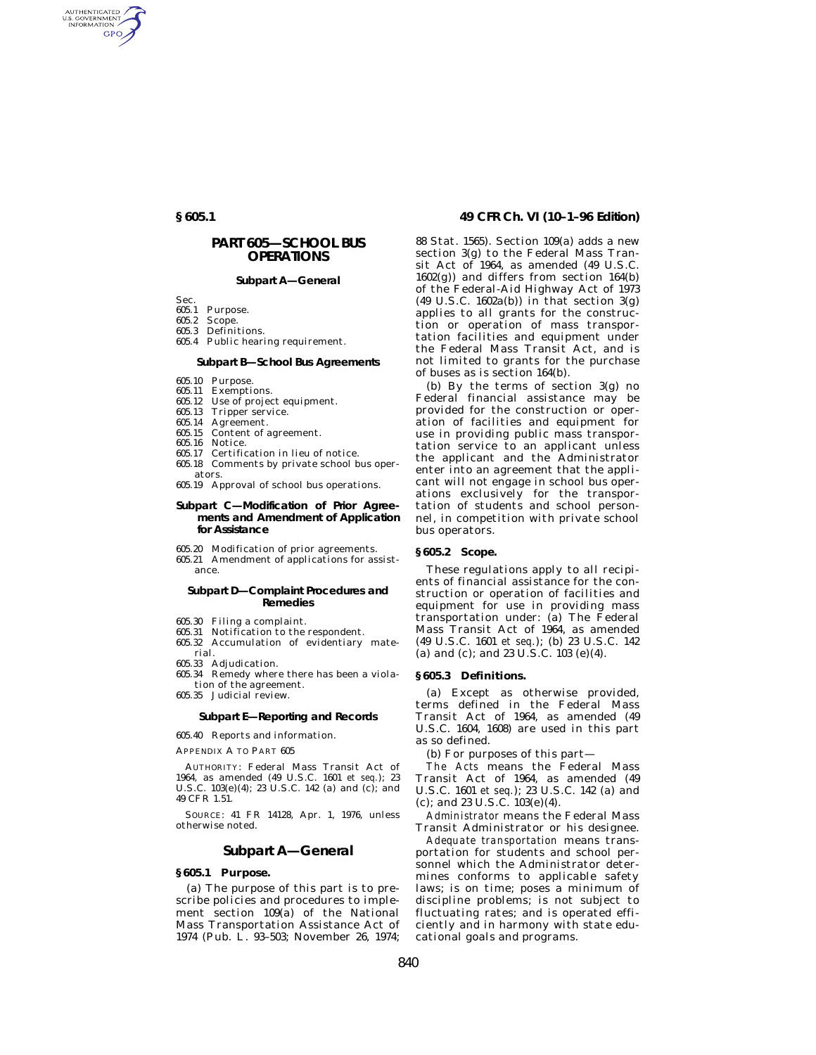AUTHENTICATED<br>U.S. GOVERNMENT<br>INFORMATION **GPO** 

# **PART 605—SCHOOL BUS OPERATIONS**

# **Subpart A—General**

- Sec.<br>605.1 Purpose.
- 605.2 Scope.
- 605.3 Definitions.
- 605.4 Public hearing requirement.

# **Subpart B—School Bus Agreements**

- 605.10 Purpose.
- 605.11 Exemptions.
- 605.12 Use of project equipment.
- 605.13 Tripper service.
- 605.14 Agreement.
- 605.15 Content of agreement.
- 605.16 Notice.
- 605.17 Certification in lieu of notice.
- 605.18 Comments by private school bus operators.
- 605.19 Approval of school bus operations.

# **Subpart C—Modification of Prior Agreements and Amendment of Application for Assistance**

- 605.20 Modification of prior agreements.
- 605.21 Amendment of applications for assistance.

# **Subpart D—Complaint Procedures and Remedies**

- 605.30 Filing a complaint.
- 605.31 Notification to the respondent.
- 605.32 Accumulation of evidentiary material.
- 605.33 Adjudication.
- 605.34 Remedy where there has been a violation of the agreement.
- 605.35 Judicial review.

# **Subpart E—Reporting and Records**

605.40 Reports and information.

APPENDIX A TO PART 605

AUTHORITY: Federal Mass Transit Act of 1964, as amended (49 U.S.C. 1601 *et seq.*); 23 U.S.C. 103(e)(4); 23 U.S.C. 142 (a) and (c); and 49 CFR 1.51.

SOURCE: 41 FR 14128, Apr. 1, 1976, unless otherwise noted.

# **Subpart A—General**

# **§ 605.1 Purpose.**

(a) The purpose of this part is to prescribe policies and procedures to implement section 109(a) of the National Mass Transportation Assistance Act of 1974 (Pub. L. 93–503; November 26, 1974;

# **§ 605.1 49 CFR Ch. VI (10–1–96 Edition)**

88 Stat. 1565). Section 109(a) adds a new section 3(g) to the Federal Mass Transit Act of 1964, as amended (49 U.S.C.  $1602(g)$  and differs from section  $164(b)$ of the Federal-Aid Highway Act of 1973  $(49 \text{ U.S.C. } 1602a(b))$  in that section  $3(g)$ applies to all grants for the construction or operation of mass transportation facilities and equipment under the Federal Mass Transit Act, and is not limited to grants for the purchase of buses as is section 164(b).

(b) By the terms of section 3(g) no Federal financial assistance may be provided for the construction or operation of facilities and equipment for use in providing public mass transportation service to an applicant unless the applicant and the Administrator enter into an agreement that the applicant will not engage in school bus operations exclusively for the transportation of students and school personnel, in competition with private school bus operators.

#### **§ 605.2 Scope.**

These regulations apply to all recipients of financial assistance for the construction or operation of facilities and equipment for use in providing mass transportation under: (a) The Federal Mass Transit Act of 1964, as amended (49 U.S.C. 1601 *et seq.*); (b) 23 U.S.C. 142 (a) and (c); and 23 U.S.C. 103 (e)(4).

# **§ 605.3 Definitions.**

(a) Except as otherwise provided, terms defined in the Federal Mass Transit Act of 1964, as amended (49 U.S.C. 1604, 1608) are used in this part as so defined.

(b) For purposes of this part—

*The Acts* means the Federal Mass Transit Act of 1964, as amended (49 U.S.C. 1601 *et seq.*); 23 U.S.C. 142 (a) and (c); and 23 U.S.C. 103(e)(4).

*Administrator* means the Federal Mass Transit Administrator or his designee.

*Adequate transportation* means transportation for students and school personnel which the Administrator determines conforms to applicable safety laws; is on time; poses a minimum of discipline problems; is not subject to fluctuating rates; and is operated efficiently and in harmony with state educational goals and programs.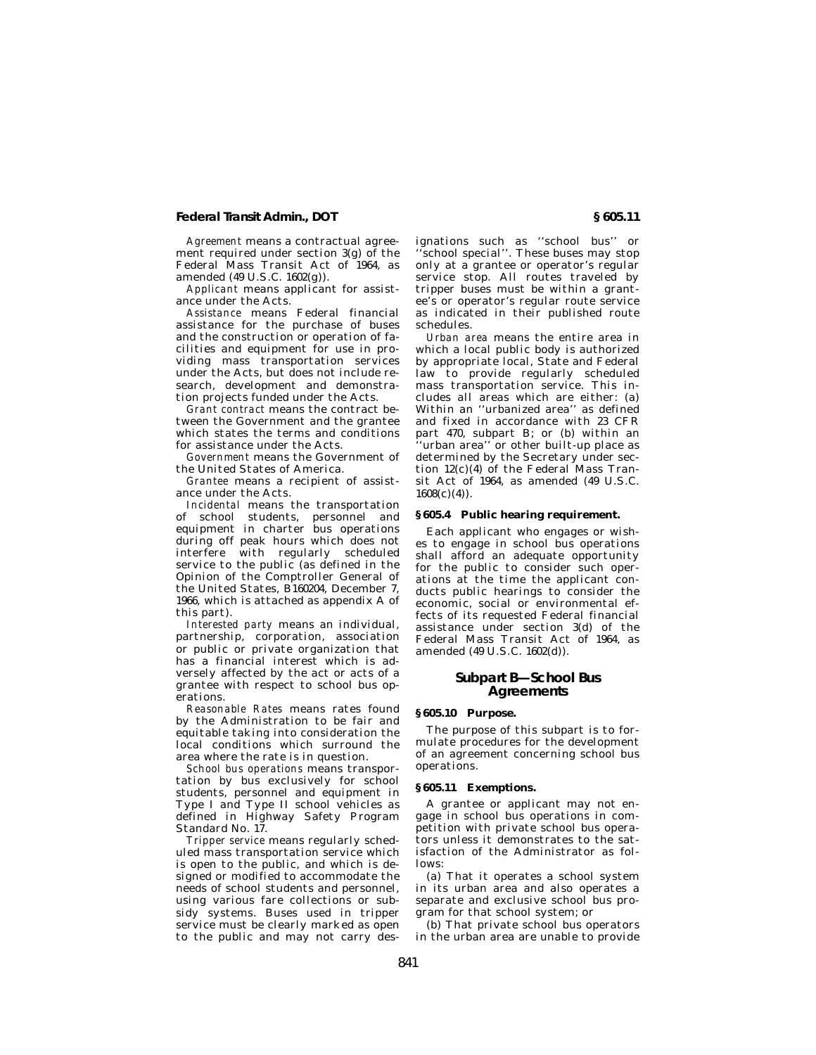# **Federal Transit Admin., DOT § 605.11**

*Agreement* means a contractual agreement required under section 3(g) of the Federal Mass Transit Act of 1964, as amended (49 U.S.C. 1602(g)).

*Applicant* means applicant for assistance under the Acts.

*Assistance* means Federal financial assistance for the purchase of buses and the construction or operation of facilities and equipment for use in providing mass transportation services under the Acts, but does not include research, development and demonstration projects funded under the Acts.

*Grant contract* means the contract between the Government and the grantee which states the terms and conditions for assistance under the Acts.

*Government* means the Government of the United States of America.

*Grantee* means a recipient of assistance under the Acts.

*Incidental* means the transportation of school students, personnel and equipment in charter bus operations during off peak hours which does not interfere with regularly scheduled service to the public (as defined in the Opinion of the Comptroller General of the United States, B160204, December 7, 1966, which is attached as appendix A of this part).

*Interested party* means an individual, partnership, corporation, association or public or private organization that has a financial interest which is adversely affected by the act or acts of a grantee with respect to school bus operations.

*Reasonable Rates* means rates found by the Administration to be fair and equitable taking into consideration the local conditions which surround the area where the rate is in question.

*School bus operations* means transportation by bus exclusively for school students, personnel and equipment in Type I and Type II school vehicles as defined in Highway Safety Program Standard No. 17.

*Tripper service* means regularly scheduled mass transportation service which is open to the public, and which is designed or modified to accommodate the needs of school students and personnel, using various fare collections or subsidy systems. Buses used in tripper service must be clearly marked as open to the public and may not carry des-

ignations such as ''school bus'' or ''school special''. These buses may stop only at a grantee or operator's regular service stop. All routes traveled by tripper buses must be within a grantee's or operator's regular route service as indicated in their published route schedules.

*Urban area* means the entire area in which a local public body is authorized by appropriate local, State and Federal law to provide regularly scheduled mass transportation service. This includes all areas which are either: (a) Within an ''urbanized area'' as defined and fixed in accordance with 23 CFR part 470, subpart B; or (b) within an 'urban area'' or other built-up place as determined by the Secretary under section 12(c)(4) of the Federal Mass Transit Act of 1964, as amended (49 U.S.C.  $1608(c)(4)$ .

#### **§ 605.4 Public hearing requirement.**

Each applicant who engages or wishes to engage in school bus operations shall afford an adequate opportunity for the public to consider such operations at the time the applicant conducts public hearings to consider the economic, social or environmental effects of its requested Federal financial assistance under section 3(d) of the Federal Mass Transit Act of 1964, as amended (49 U.S.C. 1602(d)).

# **Subpart B—School Bus Agreements**

## **§ 605.10 Purpose.**

The purpose of this subpart is to formulate procedures for the development of an agreement concerning school bus operations.

#### **§ 605.11 Exemptions.**

A grantee or applicant may not engage in school bus operations in competition with private school bus operators unless it demonstrates to the satisfaction of the Administrator as follows:

(a) That it operates a school system in its urban area and also operates a separate and exclusive school bus program for that school system; or

(b) That private school bus operators in the urban area are unable to provide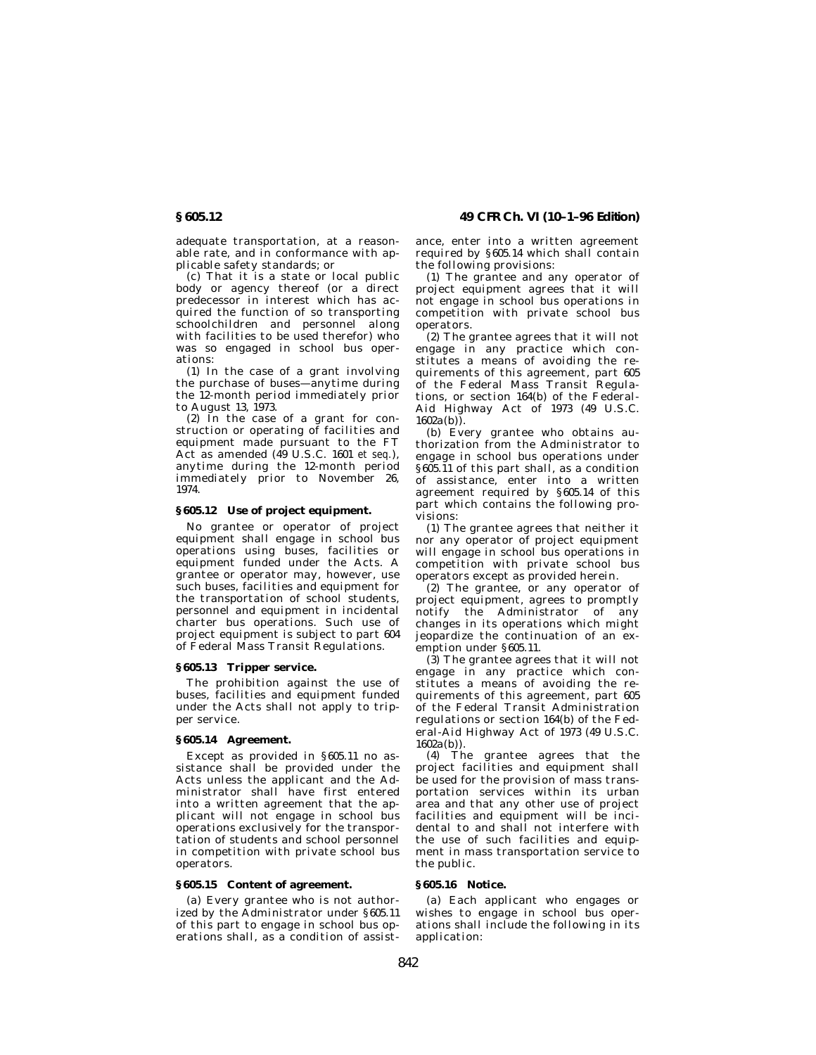adequate transportation, at a reasonable rate, and in conformance with applicable safety standards; or

(c) That it is a state or local public body or agency thereof (or a direct predecessor in interest which has acquired the function of so transporting schoolchildren and personnel along with facilities to be used therefor) who was so engaged in school bus operations:

(1) In the case of a grant involving the purchase of buses—anytime during the 12-month period immediately prior to August 13, 1973.

(2) In the case of a grant for construction or operating of facilities and equipment made pursuant to the FT Act as amended (49 U.S.C. 1601 *et seq.*), anytime during the 12-month period immediately prior to November 26, 1974.

# **§ 605.12 Use of project equipment.**

No grantee or operator of project equipment shall engage in school bus operations using buses, facilities or equipment funded under the Acts. A grantee or operator may, however, use such buses, facilities and equipment for the transportation of school students, personnel and equipment in incidental charter bus operations. Such use of project equipment is subject to part 604 of Federal Mass Transit Regulations.

# **§ 605.13 Tripper service.**

The prohibition against the use of buses, facilities and equipment funded under the Acts shall not apply to tripper service.

### **§ 605.14 Agreement.**

Except as provided in § 605.11 no assistance shall be provided under the Acts unless the applicant and the Administrator shall have first entered into a written agreement that the applicant will not engage in school bus operations exclusively for the transportation of students and school personnel in competition with private school bus operators.

# **§ 605.15 Content of agreement.**

(a) Every grantee who is not authorized by the Administrator under § 605.11 of this part to engage in school bus operations shall, as a condition of assist-

**§ 605.12 49 CFR Ch. VI (10–1–96 Edition)**

ance, enter into a written agreement required by § 605.14 which shall contain the following provisions:

(1) The grantee and any operator of project equipment agrees that it will not engage in school bus operations in competition with private school bus operators.

(2) The grantee agrees that it will not engage in any practice which constitutes a means of avoiding the requirements of this agreement, part 605 of the Federal Mass Transit Regulations, or section 164(b) of the Federal-Aid Highway Act of 1973 (49 U.S.C.  $1602a(b)$ ).

(b) Every grantee who obtains authorization from the Administrator to engage in school bus operations under § 605.11 of this part shall, as a condition of assistance, enter into a written agreement required by § 605.14 of this part which contains the following provisions:

(1) The grantee agrees that neither it nor any operator of project equipment will engage in school bus operations in competition with private school bus operators except as provided herein.

(2) The grantee, or any operator of project equipment, agrees to promptly notify the Administrator of any changes in its operations which might jeopardize the continuation of an exemption under §605.11.

(3) The grantee agrees that it will not engage in any practice which constitutes a means of avoiding the requirements of this agreement, part 605 of the Federal Transit Administration regulations or section 164(b) of the Federal-Aid Highway Act of 1973 (49 U.S.C. 1602a(b)).

(4) The grantee agrees that the project facilities and equipment shall be used for the provision of mass transportation services within its urban area and that any other use of project facilities and equipment will be incidental to and shall not interfere with the use of such facilities and equipment in mass transportation service to the public.

# **§ 605.16 Notice.**

(a) Each applicant who engages or wishes to engage in school bus operations shall include the following in its application: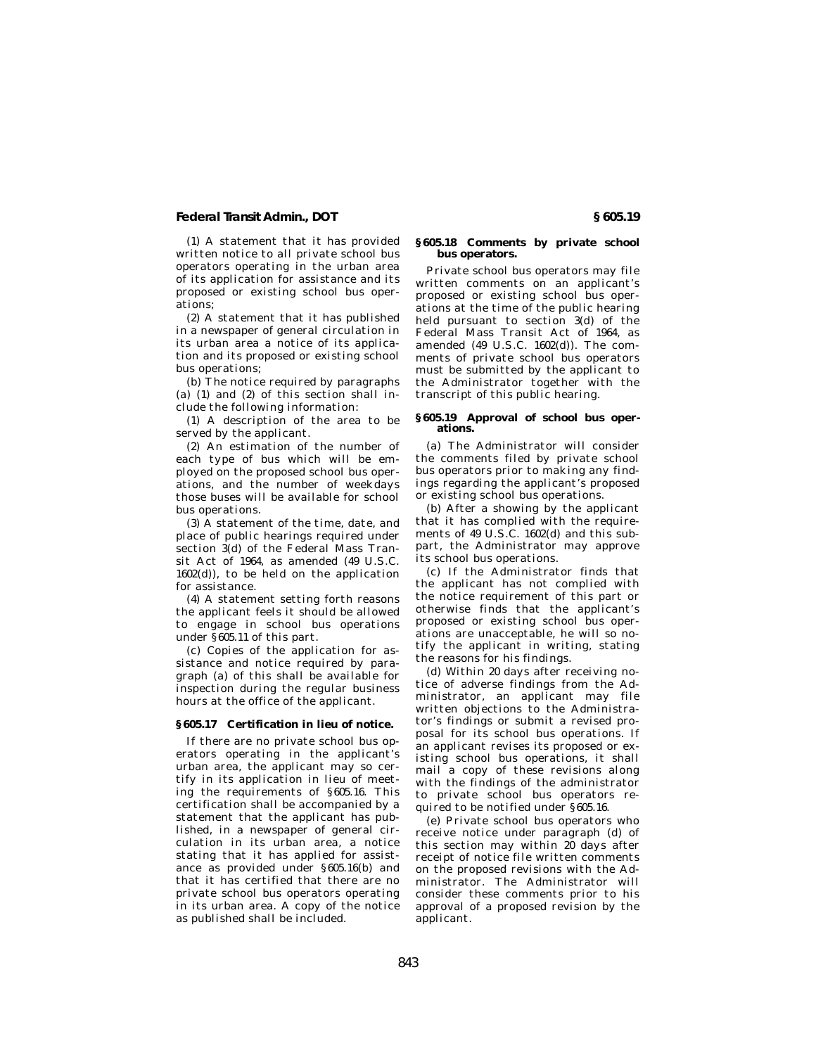# **Federal Transit Admin., DOT § 605.19**

(1) A statement that it has provided written notice to all private school bus operators operating in the urban area of its application for assistance and its proposed or existing school bus operations;

(2) A statement that it has published in a newspaper of general circulation in its urban area a notice of its application and its proposed or existing school bus operations;

(b) The notice required by paragraphs (a) (1) and (2) of this section shall include the following information:

(1) A description of the area to be served by the applicant.

(2) An estimation of the number of each type of bus which will be employed on the proposed school bus operations, and the number of weekdays those buses will be available for school bus operations.

(3) A statement of the time, date, and place of public hearings required under section 3(d) of the Federal Mass Transit Act of 1964, as amended (49 U.S.C.  $1602(d)$ , to be held on the application for assistance.

(4) A statement setting forth reasons the applicant feels it should be allowed to engage in school bus operations under §605.11 of this part.

(c) Copies of the application for assistance and notice required by paragraph (a) of this shall be available for inspection during the regular business hours at the office of the applicant.

# **§ 605.17 Certification in lieu of notice.**

If there are no private school bus operators operating in the applicant's urban area, the applicant may so certify in its application in lieu of meeting the requirements of § 605.16. This certification shall be accompanied by a statement that the applicant has published, in a newspaper of general circulation in its urban area, a notice stating that it has applied for assistance as provided under § 605.16(b) and that it has certified that there are no private school bus operators operating in its urban area. A copy of the notice as published shall be included.

# **§ 605.18 Comments by private school bus operators.**

Private school bus operators may file written comments on an applicant's proposed or existing school bus operations at the time of the public hearing held pursuant to section 3(d) of the Federal Mass Transit Act of 1964, as amended (49 U.S.C. 1602(d)). The comments of private school bus operators must be submitted by the applicant to the Administrator together with the transcript of this public hearing.

#### **§ 605.19 Approval of school bus operations.**

(a) The Administrator will consider the comments filed by private school bus operators prior to making any findings regarding the applicant's proposed or existing school bus operations.

(b) After a showing by the applicant that it has complied with the requirements of 49 U.S.C. 1602(d) and this subpart, the Administrator may approve its school bus operations.

(c) If the Administrator finds that the applicant has not complied with the notice requirement of this part or otherwise finds that the applicant's proposed or existing school bus operations are unacceptable, he will so notify the applicant in writing, stating the reasons for his findings.

(d) Within 20 days after receiving notice of adverse findings from the Administrator, an applicant may file written objections to the Administrator's findings or submit a revised proposal for its school bus operations. If an applicant revises its proposed or existing school bus operations, it shall mail a copy of these revisions along with the findings of the administrator to private school bus operators required to be notified under § 605.16.

(e) Private school bus operators who receive notice under paragraph (d) of this section may within  $20$  days after receipt of notice file written comments on the proposed revisions with the Administrator. The Administrator will consider these comments prior to his approval of a proposed revision by the applicant.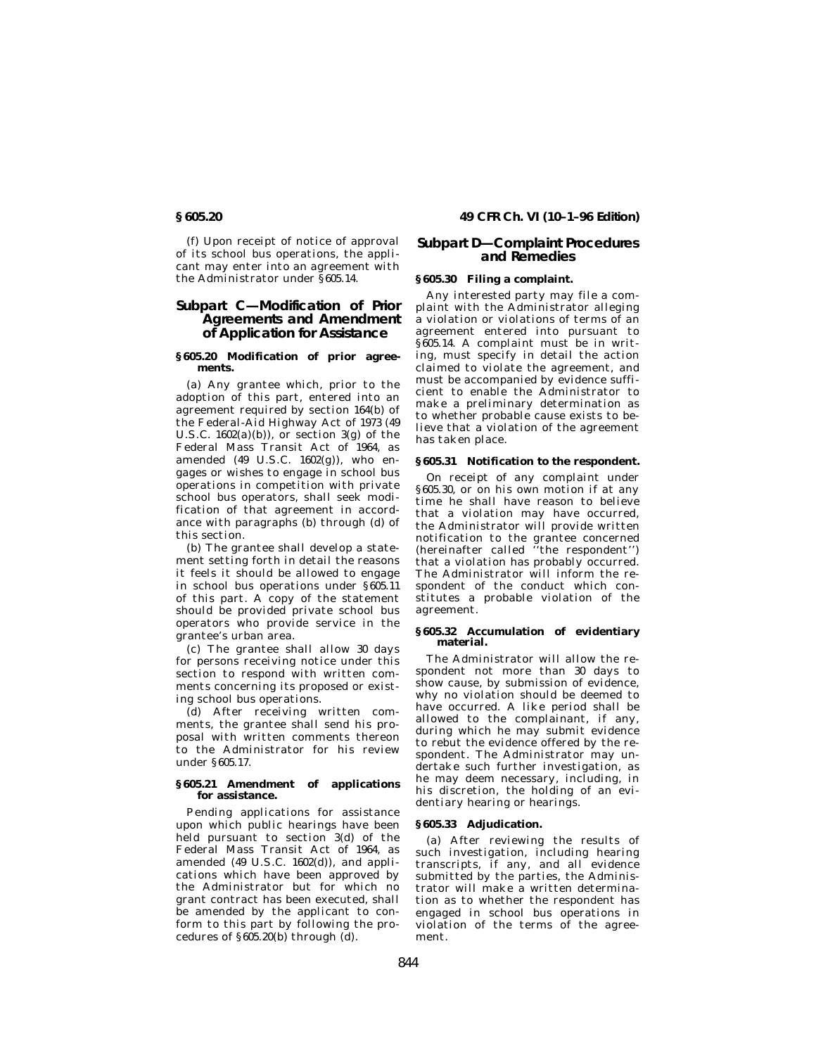(f) Upon receipt of notice of approval of its school bus operations, the applicant may enter into an agreement with the Administrator under §605.14.

# **Subpart C—Modification of Prior Agreements and Amendment of Application for Assistance**

### **§ 605.20 Modification of prior agreements.**

(a) Any grantee which, prior to the adoption of this part, entered into an agreement required by section 164(b) of the Federal-Aid Highway Act of 1973 (49 U.S.C.  $1602(a)(b)$ , or section  $3(g)$  of the Federal Mass Transit Act of 1964, as amended  $(49 \text{ U.S.C. } 1602(g))$ , who engages or wishes to engage in school bus operations in competition with private school bus operators, shall seek modification of that agreement in accordance with paragraphs (b) through (d) of this section.

(b) The grantee shall develop a statement setting forth in detail the reasons it feels it should be allowed to engage in school bus operations under § 605.11 of this part. A copy of the statement should be provided private school bus operators who provide service in the grantee's urban area.

(c) The grantee shall allow 30 days for persons receiving notice under this section to respond with written comments concerning its proposed or existing school bus operations.

(d) After receiving written comments, the grantee shall send his proposal with written comments thereon to the Administrator for his review under §605.17.

# **§ 605.21 Amendment of applications for assistance.**

Pending applications for assistance upon which public hearings have been held pursuant to section 3(d) of the Federal Mass Transit Act of 1964, as amended (49 U.S.C. 1602(d)), and applications which have been approved by the Administrator but for which no grant contract has been executed, shall be amended by the applicant to conform to this part by following the procedures of  $§605.20(b)$  through  $(d)$ .

# **§ 605.20 49 CFR Ch. VI (10–1–96 Edition)**

# **Subpart D—Complaint Procedures and Remedies**

# **§ 605.30 Filing a complaint.**

Any interested party may file a complaint with the Administrator alleging a violation or violations of terms of an agreement entered into pursuant to § 605.14. A complaint must be in writing, must specify in detail the action claimed to violate the agreement, and must be accompanied by evidence sufficient to enable the Administrator to make a preliminary determination as to whether probable cause exists to believe that a violation of the agreement has taken place.

# **§ 605.31 Notification to the respondent.**

On receipt of any complaint under § 605.30, or on his own motion if at any time he shall have reason to believe that a violation may have occurred, the Administrator will provide written notification to the grantee concerned (hereinafter called ''the respondent'') that a violation has probably occurred. The Administrator will inform the respondent of the conduct which constitutes a probable violation of the agreement.

### **§ 605.32 Accumulation of evidentiary material.**

The Administrator will allow the respondent not more than 30 days to show cause, by submission of evidence, why no violation should be deemed to have occurred. A like period shall be allowed to the complainant, if any, during which he may submit evidence to rebut the evidence offered by the respondent. The Administrator may undertake such further investigation, as he may deem necessary, including, in his discretion, the holding of an evidentiary hearing or hearings.

# **§ 605.33 Adjudication.**

(a) After reviewing the results of such investigation, including hearing transcripts, if any, and all evidence submitted by the parties, the Administrator will make a written determination as to whether the respondent has engaged in school bus operations in violation of the terms of the agreement.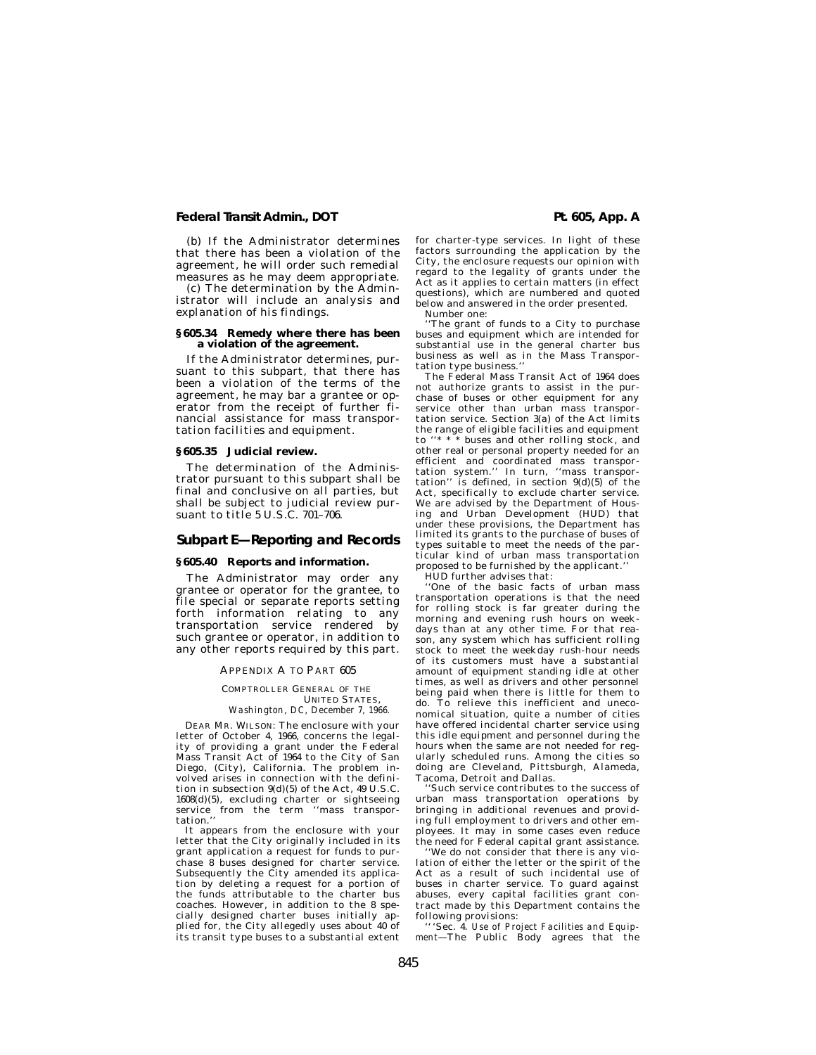# **Federal Transit Admin., DOT Pt. 605, App. A**

(b) If the Administrator determines that there has been a violation of the agreement, he will order such remedial measures as he may deem appropriate.

(c) The determination by the Administrator will include an analysis and explanation of his findings.

# **§ 605.34 Remedy where there has been a violation of the agreement.**

If the Administrator determines, pursuant to this subpart, that there has been a violation of the terms of the agreement, he may bar a grantee or operator from the receipt of further financial assistance for mass transportation facilities and equipment.

#### **§ 605.35 Judicial review.**

The determination of the Administrator pursuant to this subpart shall be final and conclusive on all parties, but shall be subject to judicial review pursuant to title 5 U.S.C. 701–706.

# **Subpart E—Reporting and Records**

### **§ 605.40 Reports and information.**

The Administrator may order any grantee or operator for the grantee, to file special or separate reports setting forth information relating to any transportation service rendered by such grantee or operator, in addition to any other reports required by this part.

#### APPENDIX A TO PART 605

#### COMPTROLLER GENERAL OF THE UNITED STATES, *Washington, DC, December 7, 1966.*

DEAR MR. WILSON: The enclosure with your letter of October 4, 1966, concerns the legality of providing a grant under the Federal Mass Transit Act of 1964 to the City of San Diego, (City), California. The problem in-volved arises in connection with the definition in subsection 9(d)(5) of the Act, 49 U.S.C. 1608(d)(5), excluding charter or sightseeing service from the term "mass transpor-

tation.

It appears from the enclosure with your letter that the City originally included in its grant application a request for funds to purchase 8 buses designed for charter service. Subsequently the City amended its application by deleting a request for a portion of the funds attributable to the charter bus coaches. However, in addition to the 8 specially designed charter buses initially applied for, the City allegedly uses about 40 of its transit type buses to a substantial extent

for charter-type services. In light of these factors surrounding the application by the City, the enclosure requests our opinion with regard to the legality of grants under the Act as it applies to certain matters (in effect questions), which are numbered and quoted below and answered in the order presented.

Number one:

The grant of funds to a City to purchase buses and equipment which are intended for substantial use in the general charter bus business as well as in the Mass Transportation type business.''

The Federal Mass Transit Act of 1964 does not authorize grants to assist in the purchase of buses or other equipment for any service other than urban mass transportation service. Section 3(a) of the Act limits the range of eligible facilities and equipment to "\* \* \* buses and other rolling stock, and other real or personal property needed for an efficient and coordinated mass transpor-tation system.'' In turn, ''mass transportation'' is defined, in section  $9(d)(5)$  of the Act, specifically to exclude charter service. We are advised by the Department of Housing and Urban Development (HUD) that under these provisions, the Department has limited its grants to the purchase of buses of types suitable to meet the needs of the particular kind of urban mass transportation proposed to be furnished by the applicant.

HUD further advises that:

''One of the basic facts of urban mass transportation operations is that the need for rolling stock is far greater during the morning and evening rush hours on weekdays than at any other time. For that reason, any system which has sufficient rolling stock to meet the weekday rush-hour needs of its customers must have a substantial amount of equipment standing idle at other times, as well as drivers and other personnel being paid when there is little for them to do. To relieve this inefficient and uneconomical situation, quite a number of cities have offered incidental charter service using this idle equipment and personnel during the hours when the same are not needed for regularly scheduled runs. Among the cities so doing are Cleveland, Pittsburgh, Alameda, Tacoma, Detroit and Dallas.

''Such service contributes to the success of urban mass transportation operations by bringing in additional revenues and providing full employment to drivers and other employees. It may in some cases even reduce the need for Federal capital grant assistance.

''We do not consider that there is any violation of either the letter or the spirit of the Act as a result of such incidental use of buses in charter service. To guard against abuses, every capital facilities grant contract made by this Department contains the following provisions:

'''Sec. 4. *Use of Project Facilities and Equipment*—The Public Body agrees that the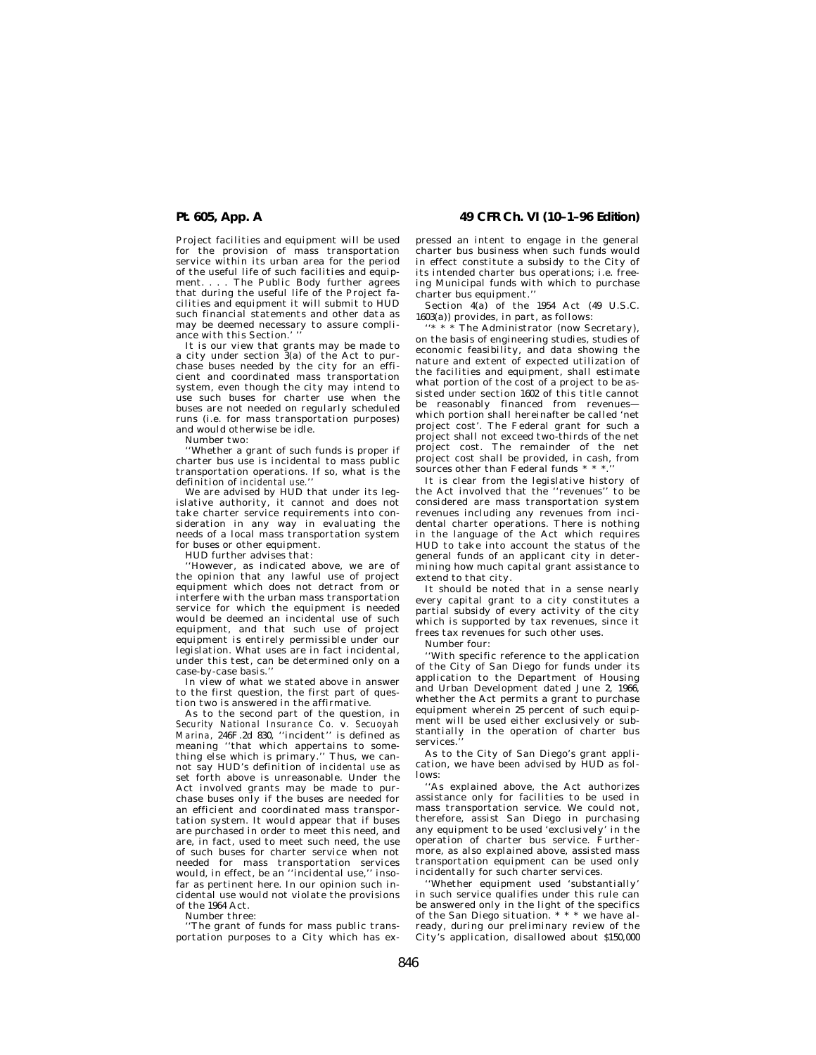Project facilities and equipment will be used for the provision of mass transportation service within its urban area for the period of the useful life of such facilities and equipment. . . . The Public Body further agrees that during the useful life of the Project facilities and equipment it will submit to HUD such financial statements and other data as may be deemed necessary to assure compliance with this Section.' ''

It is our view that grants may be made to a city under section 3(a) of the Act to purchase buses needed by the city for an efficient and coordinated mass transportation system, even though the city may intend to use such buses for charter use when the buses are not needed on regularly scheduled runs (i.e. for mass transportation purposes) and would otherwise be idle.

Number two:

''Whether a grant of such funds is proper if charter bus use is incidental to mass public transportation operations. If so, what is the definition of *incidental use.*''

We are advised by HUD that under its legislative authority, it cannot and does not take charter service requirements into consideration in any way in evaluating the needs of a local mass transportation system for buses or other equipment.

HUD further advises that:

''However, as indicated above, we are of the opinion that any lawful use of project equipment which does not detract from or interfere with the urban mass transportation service for which the equipment is needed would be deemed an incidental use of such equipment, and that such use of project equipment is entirely permissible under our legislation. What uses are in fact incidental, under this test, can be determined only on a case-by-case basis.''

In view of what we stated above in answer to the first question, the first part of question two is answered in the affirmative.

As to the second part of the question, in *Security National Insurance Co.* v. *Secuoyah Marina,* 246F.2d 830, ''incident'' is defined as meaning ''that which appertains to something else which is primary." Thus, we cannot say HUD's definition of *incidental use* as set forth above is unreasonable. Under the Act involved grants may be made to purchase buses only if the buses are needed for an efficient and coordinated mass transportation system. It would appear that if buses are purchased in order to meet this need, and are, in fact, used to meet such need, the use of such buses for charter service when not needed for mass transportation services would, in effect, be an ''incidental use,'' insofar as pertinent here. In our opinion such incidental use would not violate the provisions of the 1964 Act.

Number three:

''The grant of funds for mass public transportation purposes to a City which has ex-

# **Pt. 605, App. A 49 CFR Ch. VI (10–1–96 Edition)**

pressed an intent to engage in the general charter bus business when such funds would in effect constitute a subsidy to the City of its intended charter bus operations; i.e. freeing Municipal funds with which to purchase charter bus equipment.''

Section 4(a) of the 1954 Act (49 U.S.C. 1603(a)) provides, in part, as follows:

The Administrator (now Secretary), on the basis of engineering studies, studies of economic feasibility, and data showing the nature and extent of expected utilization of the facilities and equipment, shall estimate what portion of the cost of a project to be assisted under section 1602 of this title cannot be reasonably financed from revenues which portion shall hereinafter be called 'net project cost'. The Federal grant for such a project shall not exceed two-thirds of the net project cost. The remainder of the net project cost shall be provided, in cash, from sources other than Federal funds  $\hspace{0.1mm}^*$ 

It is clear from the legislative history of the Act involved that the ''revenues'' to be considered are mass transportation system revenues including any revenues from incidental charter operations. There is nothing in the language of the Act which requires HUD to take into account the status of the general funds of an applicant city in determining how much capital grant assistance to extend to that city.

It should be noted that in a sense nearly every capital grant to a city constitutes a partial subsidy of every activity of the city which is supported by tax revenues, since it frees tax revenues for such other uses.

Number four:

''With specific reference to the application of the City of San Diego for funds under its application to the Department of Housing and Urban Development dated June 2, 1966, whether the Act permits a grant to purchase equipment wherein 25 percent of such equipment will be used either exclusively or substantially in the operation of charter bus services.

As to the City of San Diego's grant application, we have been advised by HUD as follows:

''As explained above, the Act authorizes assistance only for facilities to be used in mass transportation service. We could not, therefore, assist San Diego in purchasing any equipment to be used 'exclusively' in the operation of charter bus service. Furthermore, as also explained above, assisted mass transportation equipment can be used only incidentally for such charter services.

''Whether equipment used 'substantially' in such service qualifies under this rule can be answered only in the light of the specifics of the San Diego situation. \* \* \* we have already, during our preliminary review of the City's application, disallowed about \$150,000